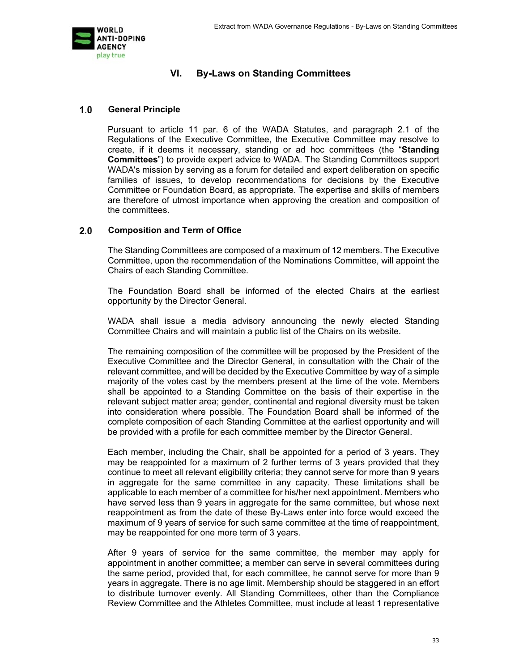

# **VI. By-Laws on Standing Committees**

#### $1.0$ **General Principle**

Pursuant to article 11 par. 6 of the WADA Statutes, and paragraph 2.1 of the Regulations of the Executive Committee, the Executive Committee may resolve to create, if it deems it necessary, standing or ad hoc committees (the "**Standing Committees**") to provide expert advice to WADA. The Standing Committees support WADA's mission by serving as a forum for detailed and expert deliberation on specific families of issues, to develop recommendations for decisions by the Executive Committee or Foundation Board, as appropriate. The expertise and skills of members are therefore of utmost importance when approving the creation and composition of the committees.

#### $2.0$ **Composition and Term of Office**

The Standing Committees are composed of a maximum of 12 members. The Executive Committee, upon the recommendation of the Nominations Committee, will appoint the Chairs of each Standing Committee.

The Foundation Board shall be informed of the elected Chairs at the earliest opportunity by the Director General.

WADA shall issue a media advisory announcing the newly elected Standing Committee Chairs and will maintain a public list of the Chairs on its website.

The remaining composition of the committee will be proposed by the President of the Executive Committee and the Director General, in consultation with the Chair of the relevant committee, and will be decided by the Executive Committee by way of a simple majority of the votes cast by the members present at the time of the vote. Members shall be appointed to a Standing Committee on the basis of their expertise in the relevant subject matter area; gender, continental and regional diversity must be taken into consideration where possible. The Foundation Board shall be informed of the complete composition of each Standing Committee at the earliest opportunity and will be provided with a profile for each committee member by the Director General.

Each member, including the Chair, shall be appointed for a period of 3 years. They may be reappointed for a maximum of 2 further terms of 3 years provided that they continue to meet all relevant eligibility criteria; they cannot serve for more than 9 years in aggregate for the same committee in any capacity. These limitations shall be applicable to each member of a committee for his/her next appointment. Members who have served less than 9 years in aggregate for the same committee, but whose next reappointment as from the date of these By-Laws enter into force would exceed the maximum of 9 years of service for such same committee at the time of reappointment, may be reappointed for one more term of 3 years.

After 9 years of service for the same committee, the member may apply for appointment in another committee; a member can serve in several committees during the same period, provided that, for each committee, he cannot serve for more than 9 years in aggregate. There is no age limit. Membership should be staggered in an effort to distribute turnover evenly. All Standing Committees, other than the Compliance Review Committee and the Athletes Committee, must include at least 1 representative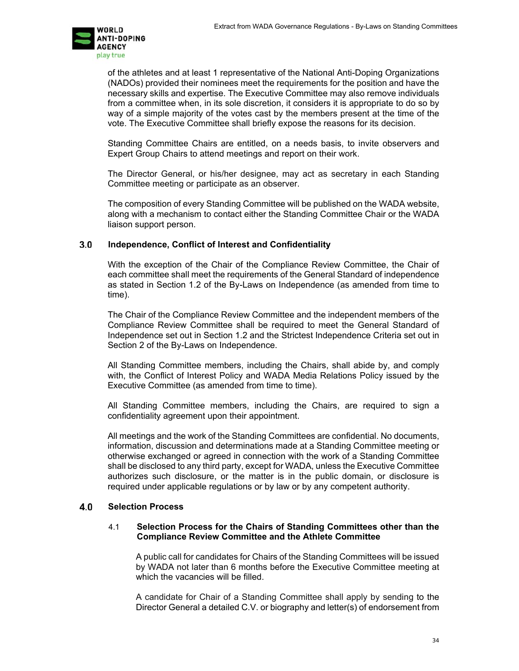

of the athletes and at least 1 representative of the National Anti-Doping Organizations (NADOs) provided their nominees meet the requirements for the position and have the necessary skills and expertise. The Executive Committee may also remove individuals from a committee when, in its sole discretion, it considers it is appropriate to do so by way of a simple majority of the votes cast by the members present at the time of the vote. The Executive Committee shall briefly expose the reasons for its decision.

Standing Committee Chairs are entitled, on a needs basis, to invite observers and Expert Group Chairs to attend meetings and report on their work.

The Director General, or his/her designee, may act as secretary in each Standing Committee meeting or participate as an observer.

The composition of every Standing Committee will be published on the WADA website, along with a mechanism to contact either the Standing Committee Chair or the WADA liaison support person.

### **Independence, Conflict of Interest and Confidentiality**

With the exception of the Chair of the Compliance Review Committee, the Chair of each committee shall meet the requirements of the General Standard of independence as stated in Section 1.2 of the By-Laws on Independence (as amended from time to time).

The Chair of the Compliance Review Committee and the independent members of the Compliance Review Committee shall be required to meet the General Standard of Independence set out in Section 1.2 and the Strictest Independence Criteria set out in Section 2 of the By-Laws on Independence.

All Standing Committee members, including the Chairs, shall abide by, and comply with, the Conflict of Interest Policy and WADA Media Relations Policy issued by the Executive Committee (as amended from time to time).

All Standing Committee members, including the Chairs, are required to sign a confidentiality agreement upon their appointment.

All meetings and the work of the Standing Committees are confidential. No documents, information, discussion and determinations made at a Standing Committee meeting or otherwise exchanged or agreed in connection with the work of a Standing Committee shall be disclosed to any third party, except for WADA, unless the Executive Committee authorizes such disclosure, or the matter is in the public domain, or disclosure is required under applicable regulations or by law or by any competent authority.

#### **Selection Process**

#### 4.1 **Selection Process for the Chairs of Standing Committees other than the Compliance Review Committee and the Athlete Committee**

A public call for candidates for Chairs of the Standing Committees will be issued by WADA not later than 6 months before the Executive Committee meeting at which the vacancies will be filled.

A candidate for Chair of a Standing Committee shall apply by sending to the Director General a detailed C.V. or biography and letter(s) of endorsement from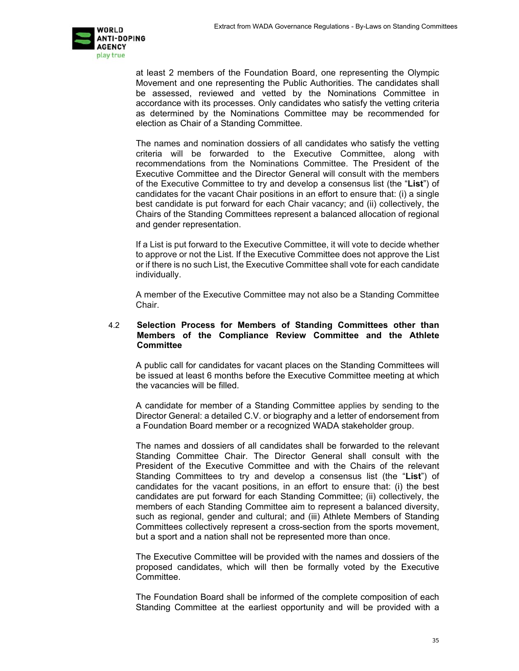

at least 2 members of the Foundation Board, one representing the Olympic Movement and one representing the Public Authorities. The candidates shall be assessed, reviewed and vetted by the Nominations Committee in accordance with its processes. Only candidates who satisfy the vetting criteria as determined by the Nominations Committee may be recommended for election as Chair of a Standing Committee.

The names and nomination dossiers of all candidates who satisfy the vetting criteria will be forwarded to the Executive Committee, along with recommendations from the Nominations Committee. The President of the Executive Committee and the Director General will consult with the members of the Executive Committee to try and develop a consensus list (the "**List**") of candidates for the vacant Chair positions in an effort to ensure that: (i) a single best candidate is put forward for each Chair vacancy; and (ii) collectively, the Chairs of the Standing Committees represent a balanced allocation of regional and gender representation.

If a List is put forward to the Executive Committee, it will vote to decide whether to approve or not the List. If the Executive Committee does not approve the List or if there is no such List, the Executive Committee shall vote for each candidate individually.

A member of the Executive Committee may not also be a Standing Committee Chair.

### 4.2 **Selection Process for Members of Standing Committees other than Members of the Compliance Review Committee and the Athlete Committee**

A public call for candidates for vacant places on the Standing Committees will be issued at least 6 months before the Executive Committee meeting at which the vacancies will be filled.

A candidate for member of a Standing Committee applies by sending to the Director General: a detailed C.V. or biography and a letter of endorsement from a Foundation Board member or a recognized WADA stakeholder group.

The names and dossiers of all candidates shall be forwarded to the relevant Standing Committee Chair. The Director General shall consult with the President of the Executive Committee and with the Chairs of the relevant Standing Committees to try and develop a consensus list (the "**List**") of candidates for the vacant positions, in an effort to ensure that: (i) the best candidates are put forward for each Standing Committee; (ii) collectively, the members of each Standing Committee aim to represent a balanced diversity, such as regional, gender and cultural; and (iii) Athlete Members of Standing Committees collectively represent a cross-section from the sports movement, but a sport and a nation shall not be represented more than once.

The Executive Committee will be provided with the names and dossiers of the proposed candidates, which will then be formally voted by the Executive Committee.

The Foundation Board shall be informed of the complete composition of each Standing Committee at the earliest opportunity and will be provided with a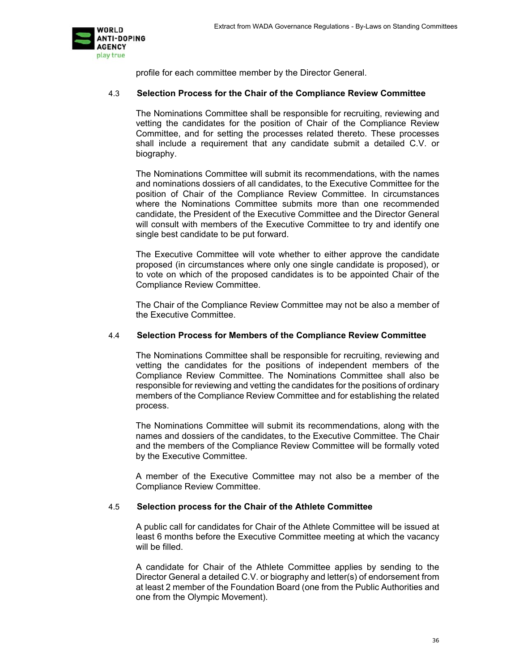

profile for each committee member by the Director General.

### 4.3 **Selection Process for the Chair of the Compliance Review Committee**

The Nominations Committee shall be responsible for recruiting, reviewing and vetting the candidates for the position of Chair of the Compliance Review Committee, and for setting the processes related thereto. These processes shall include a requirement that any candidate submit a detailed C.V. or biography.

The Nominations Committee will submit its recommendations, with the names and nominations dossiers of all candidates, to the Executive Committee for the position of Chair of the Compliance Review Committee. In circumstances where the Nominations Committee submits more than one recommended candidate, the President of the Executive Committee and the Director General will consult with members of the Executive Committee to try and identify one single best candidate to be put forward.

The Executive Committee will vote whether to either approve the candidate proposed (in circumstances where only one single candidate is proposed), or to vote on which of the proposed candidates is to be appointed Chair of the Compliance Review Committee.

The Chair of the Compliance Review Committee may not be also a member of the Executive Committee.

### 4.4 **Selection Process for Members of the Compliance Review Committee**

The Nominations Committee shall be responsible for recruiting, reviewing and vetting the candidates for the positions of independent members of the Compliance Review Committee. The Nominations Committee shall also be responsible for reviewing and vetting the candidates for the positions of ordinary members of the Compliance Review Committee and for establishing the related process.

The Nominations Committee will submit its recommendations, along with the names and dossiers of the candidates, to the Executive Committee. The Chair and the members of the Compliance Review Committee will be formally voted by the Executive Committee.

A member of the Executive Committee may not also be a member of the Compliance Review Committee.

#### 4.5 **Selection process for the Chair of the Athlete Committee**

A public call for candidates for Chair of the Athlete Committee will be issued at least 6 months before the Executive Committee meeting at which the vacancy will be filled.

A candidate for Chair of the Athlete Committee applies by sending to the Director General a detailed C.V. or biography and letter(s) of endorsement from at least 2 member of the Foundation Board (one from the Public Authorities and one from the Olympic Movement).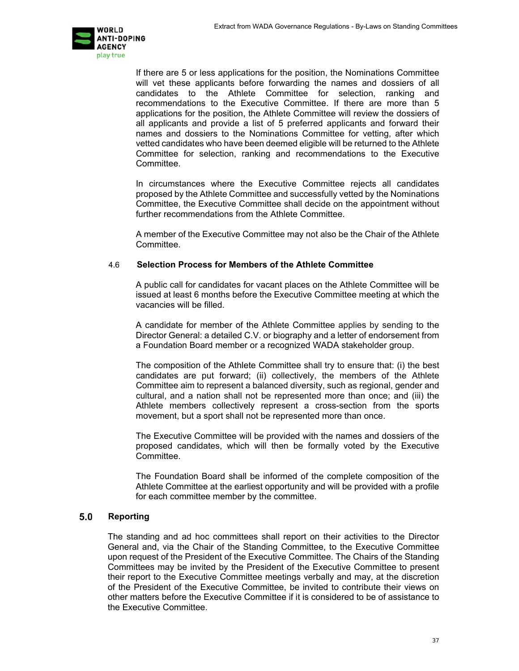

If there are 5 or less applications for the position, the Nominations Committee will vet these applicants before forwarding the names and dossiers of all candidates to the Athlete Committee for selection, ranking and recommendations to the Executive Committee. If there are more than 5 applications for the position, the Athlete Committee will review the dossiers of all applicants and provide a list of 5 preferred applicants and forward their names and dossiers to the Nominations Committee for vetting, after which vetted candidates who have been deemed eligible will be returned to the Athlete Committee for selection, ranking and recommendations to the Executive Committee.

In circumstances where the Executive Committee rejects all candidates proposed by the Athlete Committee and successfully vetted by the Nominations Committee, the Executive Committee shall decide on the appointment without further recommendations from the Athlete Committee.

A member of the Executive Committee may not also be the Chair of the Athlete **Committee.** 

### 4.6 **Selection Process for Members of the Athlete Committee**

A public call for candidates for vacant places on the Athlete Committee will be issued at least 6 months before the Executive Committee meeting at which the vacancies will be filled.

A candidate for member of the Athlete Committee applies by sending to the Director General: a detailed C.V. or biography and a letter of endorsement from a Foundation Board member or a recognized WADA stakeholder group.

The composition of the Athlete Committee shall try to ensure that: (i) the best candidates are put forward; (ii) collectively, the members of the Athlete Committee aim to represent a balanced diversity, such as regional, gender and cultural, and a nation shall not be represented more than once; and (iii) the Athlete members collectively represent a cross-section from the sports movement, but a sport shall not be represented more than once.

The Executive Committee will be provided with the names and dossiers of the proposed candidates, which will then be formally voted by the Executive Committee.

The Foundation Board shall be informed of the complete composition of the Athlete Committee at the earliest opportunity and will be provided with a profile for each committee member by the committee.

## **Reporting**

The standing and ad hoc committees shall report on their activities to the Director General and, via the Chair of the Standing Committee, to the Executive Committee upon request of the President of the Executive Committee. The Chairs of the Standing Committees may be invited by the President of the Executive Committee to present their report to the Executive Committee meetings verbally and may, at the discretion of the President of the Executive Committee, be invited to contribute their views on other matters before the Executive Committee if it is considered to be of assistance to the Executive Committee.